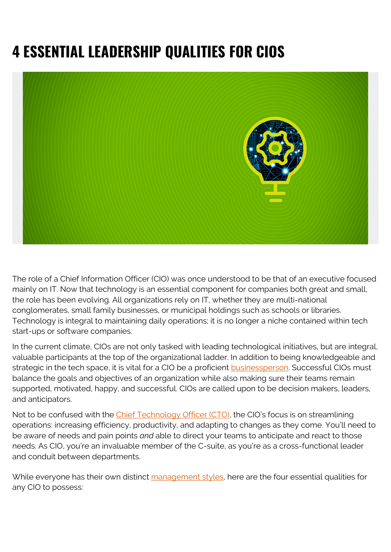# **4 ESSENTIAL LEADERSHIP QUALITIES FOR CIOS**



The role of a Chief Information Officer (CIO) was once understood to be that of an executive focused mainly on IT. Now that technology is an essential component for companies both great and small, the role has been evolving. All organizations rely on IT, whether they are multi-national conglomerates, small family businesses, or municipal holdings such as schools or libraries. Technology is integral to maintaining daily operations; it is no longer a niche contained within tech start-ups or software companies.

In the current climate, CIOs are not only tasked with leading technological initiatives, but are integral, valuable participants at the top of the organizational ladder. In addition to being knowledgeable and strategic in the tech space, it is vital for a CIO be a proficient **[businessperson](https://www.gartner.com/smarterwithgartner/are-you-a-master-cio/)**. Successful CIOs must balance the goals and objectives of an organization while also making sure their teams remain supported, motivated, happy, and successful. CIOs are called upon to be decision makers, leaders, and anticipators.

Not to be confused with the [Chief Technology Officer \(CTO\),](https://blogs.bmc.com/blogs/cio-vs-cto-whats-the-difference/) the CIO's focus is on streamlining operations: increasing efficiency, productivity, and adapting to changes as they come. You'll need to be aware of needs and pain points *and* able to direct your teams to anticipate and react to those needs. As CIO, you're an invaluable member of the C-suite, as you're as a cross-functional leader and conduit between departments.

While everyone has their own distinct [management styles,](https://www.gartner.com/smarterwithgartner/how-to-adapt-your-leadership-style-for-digital-business-infographic/) here are the four essential qualities for any CIO to possess: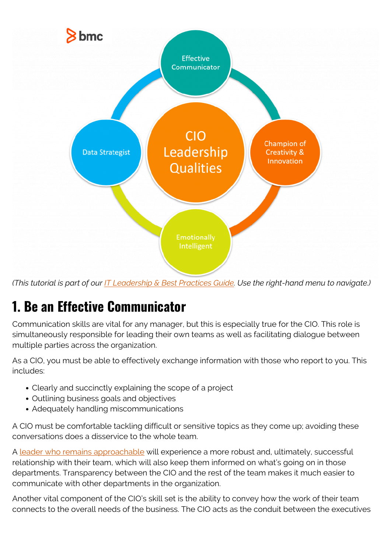

*(This tutorial is part of our [IT Leadership & Best Practices Guide](https://blogs.bmc.com/blogs/offensive-defensive-leadership/). Use the right-hand menu to navigate.)*

## **1. Be an Effective Communicator**

Communication skills are vital for any manager, but this is especially true for the CIO. This role is simultaneously responsible for leading their own teams as well as facilitating dialogue between multiple parties across the organization.

As a CIO, you must be able to effectively exchange information with those who report to you. This includes:

- Clearly and succinctly explaining the scope of a project
- Outlining business goals and objectives
- Adequately handling miscommunications

A CIO must be comfortable tackling difficult or sensitive topics as they come up; avoiding these conversations does a disservice to the whole team.

A [leader who remains approachable](https://blogs.bmc.com/blogs/offensive-defensive-leadership/) will experience a more robust and, ultimately, successful relationship with their team, which will also keep them informed on what's going on in those departments. Transparency between the CIO and the rest of the team makes it much easier to communicate with other departments in the organization.

Another vital component of the CIO's skill set is the ability to convey how the work of their team connects to the overall needs of the business. The CIO acts as the conduit between the executives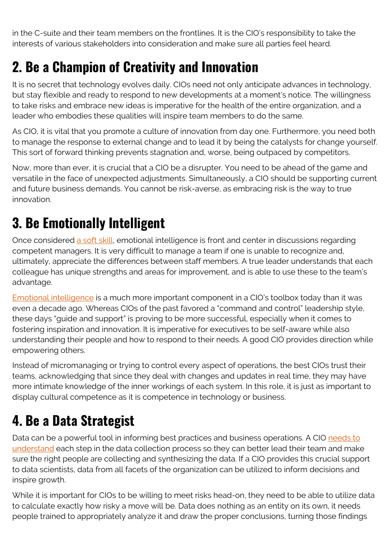in the C-suite and their team members on the frontlines. It is the CIO's responsibility to take the interests of various stakeholders into consideration and make sure all parties feel heard.

#### **2. Be a Champion of Creativity and Innovation**

It is no secret that technology evolves daily. CIOs need not only anticipate advances in technology, but stay flexible and ready to respond to new developments at a moment's notice. The willingness to take risks and embrace new ideas is imperative for the health of the entire organization, and a leader who embodies these qualities will inspire team members to do the same.

As CIO, it is vital that you promote a culture of innovation from day one. Furthermore, you need both to manage the response to external change and to lead it by being the catalysts for change yourself. This sort of forward thinking prevents stagnation and, worse, being outpaced by competitors.

Now, more than ever, it is crucial that a CIO be a disrupter. You need to be ahead of the game and versatile in the face of unexpected adjustments. Simultaneously, a CIO should be supporting current and future business demands. You cannot be risk-averse, as embracing risk is the way to true innovation.

### **3. Be Emotionally Intelligent**

Once considered [a soft skill,](https://news.yale.edu/2020/03/06/emotionally-intelligent-bosses-make-happier-more-creative-employees) emotional intelligence is front and center in discussions regarding competent managers. It is very difficult to manage a team if one is unable to recognize and, ultimately, appreciate the differences between staff members. A true leader understands that each colleague has unique strengths and areas for improvement, and is able to use these to the team's advantage.

[Emotional intelligence](https://blogs.bmc.com/blogs/emotional-intelligence-books/) is a much more important component in a CIO's toolbox today than it was even a decade ago. Whereas CIOs of the past favored a "command and control" leadership style, these days "guide and support" is proving to be more successful, especially when it comes to fostering inspiration and innovation. It is imperative for executives to be self-aware while also understanding their people and how to respond to their needs. A good CIO provides direction while empowering others.

Instead of micromanaging or trying to control every aspect of operations, the best CIOs trust their teams, acknowledging that since they deal with changes and updates in real time, they may have more intimate knowledge of the inner workings of each system. In this role, it is just as important to display cultural competence as it is competence in technology or business.

#### **4. Be a Data Strategist**

Data can be a powerful tool in informing best practices and business operations. A CIO [needs to](https://www.cio.com/article/3400637/cios-must-lead-the-data-science-charge.html) [understand](https://www.cio.com/article/3400637/cios-must-lead-the-data-science-charge.html) each step in the data collection process so they can better lead their team and make sure the right people are collecting and synthesizing the data. If a CIO provides this crucial support to data scientists, data from all facets of the organization can be utilized to inform decisions and inspire growth.

While it is important for CIOs to be willing to meet risks head-on, they need to be able to utilize data to calculate exactly how risky a move will be. Data does nothing as an entity on its own, it needs people trained to appropriately analyze it and draw the proper conclusions, turning those findings